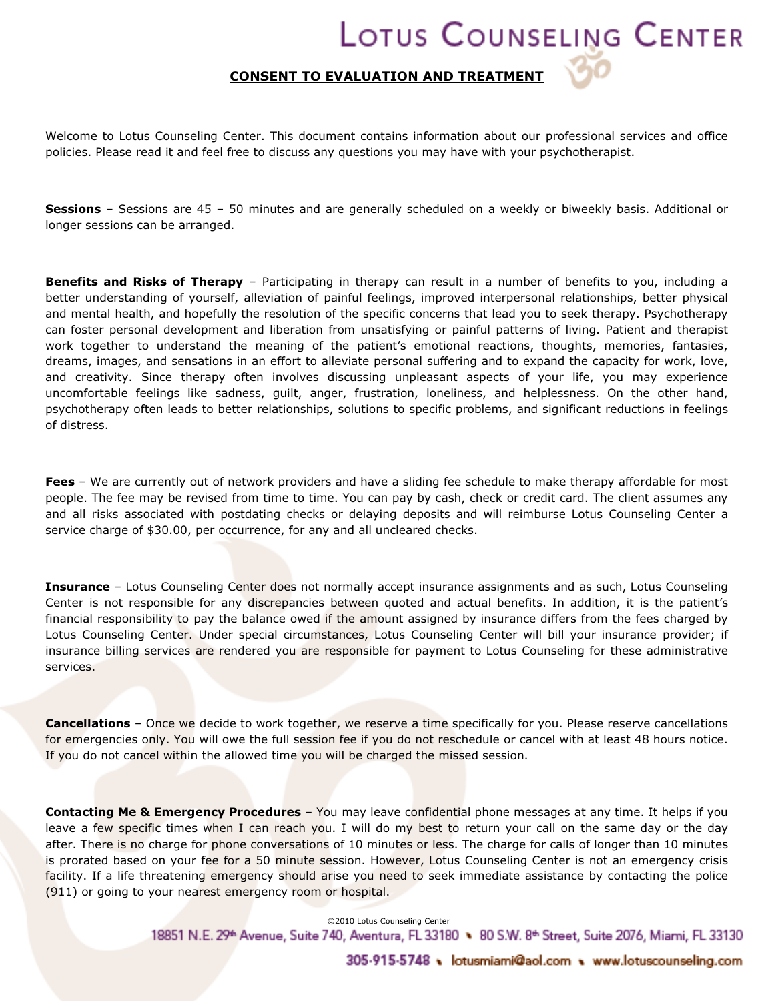## LOTUS COUNSELING CENTER

## CONSENT TO EVALUATION AND TREATMENT

Welcome to Lotus Counseling Center. This document contains information about our professional services and office policies. Please read it and feel free to discuss any questions you may have with your psychotherapist.

Sessions - Sessions are 45 - 50 minutes and are generally scheduled on a weekly or biweekly basis. Additional or longer sessions can be arranged.

**Benefits and Risks of Therapy** – Participating in therapy can result in a number of benefits to you, including a better understanding of yourself, alleviation of painful feelings, improved interpersonal relationships, better physical and mental health, and hopefully the resolution of the specific concerns that lead you to seek therapy. Psychotherapy can foster personal development and liberation from unsatisfying or painful patterns of living. Patient and therapist work together to understand the meaning of the patient's emotional reactions, thoughts, memories, fantasies, dreams, images, and sensations in an effort to alleviate personal suffering and to expand the capacity for work, love, and creativity. Since therapy often involves discussing unpleasant aspects of your life, you may experience uncomfortable feelings like sadness, guilt, anger, frustration, loneliness, and helplessness. On the other hand, psychotherapy often leads to better relationships, solutions to specific problems, and significant reductions in feelings of distress.

Fees – We are currently out of network providers and have a sliding fee schedule to make therapy affordable for most people. The fee may be revised from time to time. You can pay by cash, check or credit card. The client assumes any and all risks associated with postdating checks or delaying deposits and will reimburse Lotus Counseling Center a service charge of \$30.00, per occurrence, for any and all uncleared checks.

**Insurance** – Lotus Counseling Center does not normally accept insurance assignments and as such, Lotus Counseling Center is not responsible for any discrepancies between quoted and actual benefits. In addition, it is the patient's financial responsibility to pay the balance owed if the amount assigned by insurance differs from the fees charged by Lotus Counseling Center. Under special circumstances, Lotus Counseling Center will bill your insurance provider; if insurance billing services are rendered you are responsible for payment to Lotus Counseling for these administrative services.

Cancellations – Once we decide to work together, we reserve a time specifically for you. Please reserve cancellations for emergencies only. You will owe the full session fee if you do not reschedule or cancel with at least 48 hours notice. If you do not cancel within the allowed time you will be charged the missed session.

Contacting Me & Emergency Procedures - You may leave confidential phone messages at any time. It helps if you leave a few specific times when I can reach you. I will do my best to return your call on the same day or the day after. There is no charge for phone conversations of 10 minutes or less. The charge for calls of longer than 10 minutes is prorated based on your fee for a 50 minute session. However, Lotus Counseling Center is not an emergency crisis facility. If a life threatening emergency should arise you need to seek immediate assistance by contacting the police (911) or going to your nearest emergency room or hospital.

> 18851 N.E. 29ª Avenue, Suite 740, Aventura, FL 33180 ♦ 80 S.W. 8ª Street, Suite 2076, Miami, FL 33130 ©2010 Lotus Counseling Center